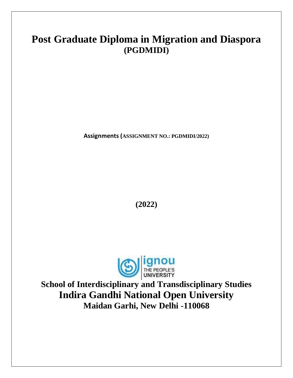# **Post Graduate Diploma in Migration and Diaspora (PGDMIDI)**

**Assignments (ASSIGNMENT NO.: PGDMIDI/2022)**

**(2022)**



**School of Interdisciplinary and Transdisciplinary Studies Indira Gandhi National Open University Maidan Garhi, New Delhi -110068**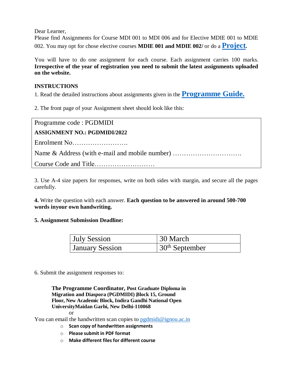Dear Learner,

Please find Assignments for Course MDI 001 to MDI 006 and for Elective MDIE 001 to MDIE 002. You may opt for chose elective courses **MDIE 001 and MDIE 002/** or do a **[Project](http://www.ignou.ac.in/ignou/aboutignou/school/soitds/handbook).**

You will have to do one assignment for each course. Each assignment carries 100 marks. **Irrespective of the year of registration you need to submit the latest assignments uploaded on the website.**

#### **INSTRUCTIONS**

1. Read the detailed instructions about assignments given in the **[Programme](http://www.ignou.ac.in/ignou/aboutignou/school/soitds/programmes) Guide.**

2. The front page of your Assignment sheet should look like this:

| Programme code : PGDMIDI            |
|-------------------------------------|
| <b>ASSIGNMENT NO.: PGDMIDI/2022</b> |
|                                     |
|                                     |
|                                     |

3. Use A-4 size papers for responses, write on both sides with margin, and secure all the pages carefully.

**4.** Write the question with each answer. **Each question to be answered in around 500-700 words inyour own handwriting.**

#### **5. Assignment Submission Deadline:**

| <b>July Session</b>    | 30 March         |
|------------------------|------------------|
| <b>January Session</b> | $30th$ September |

6. Submit the assignment responses to:

**The Programme Coordinator, Post Graduate Diploma in Migration and Diaspora (PGDMIDI) , Block 15, Ground Floor, New Academic Block, Indira Gandhi National Open UniversityMaidan Garhi, New Delhi-110068**

or

You can email the handwritten scan copies to  $pgdmidi@ignou.ac.in$ 

- o **Scan copy of handwritten assignments**
- o **Please submit in PDF format**
- o **Make different files for different course**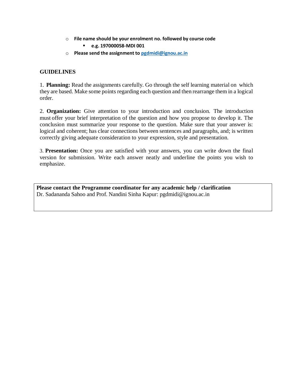o **File name should be your enrolment no. followed by course code**

**e.g. 197000058-MDI 001**

o **Please send the assignment to [pgdmidi@ignou.ac.in](mailto:pgdmidi@ignou.ac.in)**

#### **GUIDELINES**

1. **Planning:** Read the assignments carefully. Go through the self learning material on which they are based. Make some points regarding each question and then rearrange them in a logical order.

2. **Organization:** Give attention to your introduction and conclusion. The introduction must offer your brief interpretation of the question and how you propose to develop it. The conclusion must summarize your response to the question. Make sure that your answer is: logical and coherent; has clear connections between sentences and paragraphs, and; is written correctly giving adequate consideration to your expression, style and presentation.

3. **Presentation:** Once you are satisfied with your answers, you can write down the final version for submission. Write each answer neatly and underline the points you wish to emphasize.

**Please contact the Programme coordinator for any academic help / clarification** Dr. Sadananda Sahoo and Prof. Nandini Sinha Kapur: pgdmidi@ignou.ac.in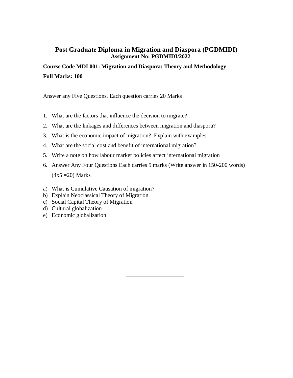**Course Code MDI 001: Migration and Diaspora: Theory and Methodology Full Marks: 100**

Answer any Five Questions. Each question carries 20 Marks

- 1. What are the factors that influence the decision to migrate?
- 2. What are the linkages and differences between migration and diaspora?
- 3. What is the economic impact of migration? Explain with examples.
- 4. What are the social cost and benefit of international migration?
- 5. Write a note on how labour market policies affect international migration
- 6. Answer Any Four Questions Each carries 5 marks (Write answer in 150-200 words)  $(4x5 = 20)$  Marks

\_\_\_\_\_\_\_\_\_\_\_\_\_\_\_\_\_\_\_\_\_\_

- a) What is Cumulative Causation of migration?
- b) Explain Neoclassical Theory of Migration
- c) Social Capital Theory of Migration
- d) Cultural globalization
- e) Economic globalization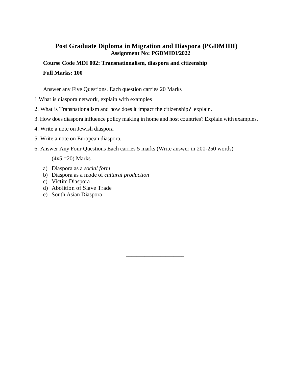**Course Code MDI 002: Transnationalism, diaspora and citizenship Full Marks: 100**

Answer any Five Questions. Each question carries 20 Marks

- 1.What is diaspora network, explain with examples
- 2. What is Transnationalism and how does it impact the citizenship? explain.
- 3. How does diaspora influence policy making in home and host countries? Explain with examples.

\_\_\_\_\_\_\_\_\_\_\_\_\_\_\_\_\_\_\_\_\_\_

- 4. Write a note on Jewish diaspora
- 5. Write a note on European diaspora.
- 6. Answer Any Four Questions Each carries 5 marks (Write answer in 200-250 words)

- a) Diaspora as a *social form*
- b) Diaspora as a mode of *cultural production*
- c) Victim Diaspora
- d) Abolition of Slave Trade
- e) South Asian Diaspora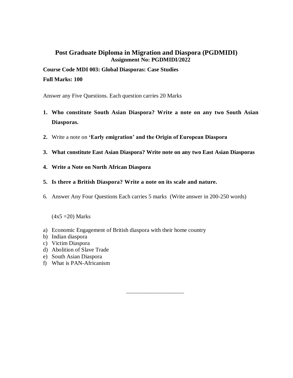## **Course Code MDI 003: Global Diasporas: Case Studies Full Marks: 100**

Answer any Five Questions. Each question carries 20 Marks

- **1. Who constitute South Asian Diaspora? Write a note on any two South Asian Diasporas.**
- **2.** Write a note on **'Early emigration' and the Origin of European Diaspora**
- **3. What constitute East Asian Diaspora? Write note on any two East Asian Diasporas**
- **4. Write a Note on North African Diaspora**
- **5. Is there a British Diaspora? Write a note on its scale and nature.**
- 6. Answer Any Four Questions Each carries 5 marks (Write answer in 200-250 words)

\_\_\_\_\_\_\_\_\_\_\_\_\_\_\_\_\_\_\_\_\_\_

- a) Economic Engagement of British diaspora with their home country
- b) Indian diaspora
- c) Victim Diaspora
- d) Abolition of Slave Trade
- e) South Asian Diaspora
- f) What is PAN-Africanism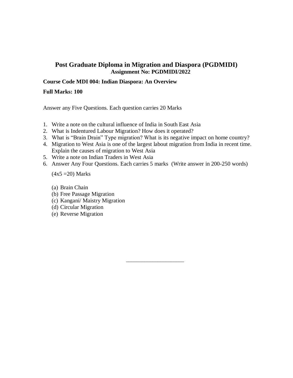#### **Course Code MDI 004: Indian Diaspora: An Overview**

**Full Marks: 100**

Answer any Five Questions. Each question carries 20 Marks

- 1. Write a note on the cultural influence of India in South East Asia
- 2. What is Indentured Labour Migration? How does it operated?
- 3. What is "Brain Drain" Type migration? What is its negative impact on home country?
- 4. Migration to West Asia is one of the largest labout migration from India in recent time. Explain the causes of migration to West Asia
- 5. Write a note on Indian Traders in West Asia
- 6. Answer Any Four Questions. Each carries 5 marks (Write answer in 200-250 words)

\_\_\_\_\_\_\_\_\_\_\_\_\_\_\_\_\_\_\_\_\_\_

- (a) Brain Chain
- (b) Free Passage Migration
- (c) Kangani/ Maistry Migration
- (d) Circular Migration
- (e) Reverse Migration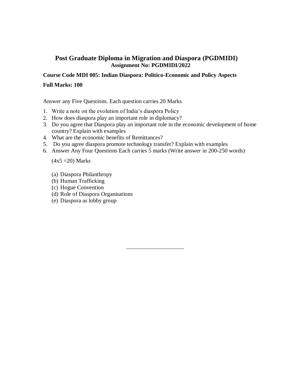#### **Course Code MDI 005: Indian Diaspora: Politico-Economic and Policy Aspects**

#### **Full Marks: 100**

Answer any Five Questions. Each question carries 20 Marks

- 1. Write a note on the evolution of India's diaspora Policy
- 2. How does diaspora play an important role in diplomacy?
- 3. Do you agree that Diaspora play an important role in the economic development of home country? Explain with examples

\_\_\_\_\_\_\_\_\_\_\_\_\_\_\_\_\_\_\_\_\_\_

- 4. What are the economic benefits of Remittances?
- 5. Do you agree diaspora promote technology transfer? Explain with examples
- 6. Answer Any Four Questions Each carries 5 marks (Write answer in 200-250 words)

- (a) Diaspora Philanthropy
- (b) Human Trafficking
- (c) Hogue Convention
- (d) Role of Diaspora Organisations
- (e) Diaspora as lobby group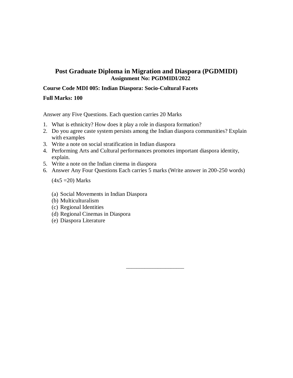#### **Course Code MDI 005: Indian Diaspora: Socio-Cultural Facets**

#### **Full Marks: 100**

Answer any Five Questions. Each question carries 20 Marks

- 1. What is ethnicity? How does it play a role in diaspora formation?
- 2. Do you agree caste system persists among the Indian diaspora communities? Explain with examples
- 3. Write a note on social stratification in Indian diaspora
- 4. Performing Arts and Cultural performances promotes important diaspora identity, explain.
- 5. Write a note on the Indian cinema in diaspora
- 6. Answer Any Four Questions Each carries 5 marks (Write answer in 200-250 words)

\_\_\_\_\_\_\_\_\_\_\_\_\_\_\_\_\_\_\_\_\_\_

- (a) Social Movements in Indian Diaspora
- (b) Multiculturalism
- (c) Regional Identities
- (d) Regional Cinemas in Diaspora
- (e) Diaspora Literature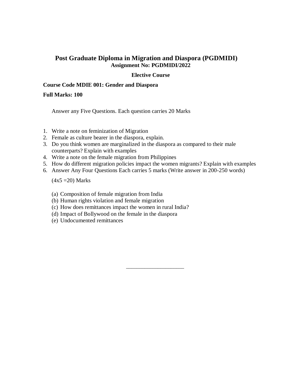#### **Elective Course**

### **Course Code MDIE 001: Gender and Diaspora**

#### **Full Marks: 100**

Answer any Five Questions. Each question carries 20 Marks

- 1. Write a note on feminization of Migration
- 2. Female as culture bearer in the diaspora, explain.
- 3. Do you think women are marginalized in the diaspora as compared to their male counterparts? Explain with examples
- 4. Write a note on the female migration from Philippines
- 5. How do different migration policies impact the women migrants? Explain with examples

\_\_\_\_\_\_\_\_\_\_\_\_\_\_\_\_\_\_\_\_\_\_

6. Answer Any Four Questions Each carries 5 marks (Write answer in 200-250 words)

- (a) Composition of female migration from India
- (b) Human rights violation and female migration
- (c) How does remittances impact the women in rural India?
- (d) Impact of Bollywood on the female in the diaspora
- (e) Undocumented remittances